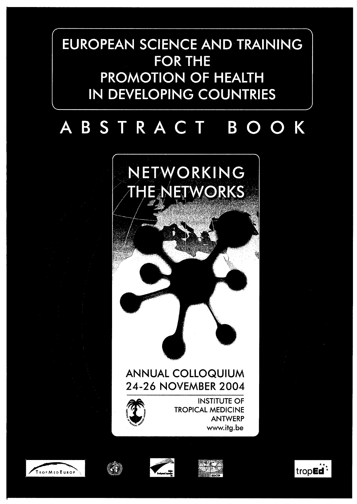# EUROPEAN SCIENCE AND TRAINING **FOR THE PROMOTION OF HEALTH IN DEVELOPING COUNTRIES**

## STRACT BOOK B



# **ANNUAL COLLOQUIUM** 24-26 NOVEMBER 2004



**INSTITUTE OF TROPICAL MEDICINE ANTWERP** www.itg.be









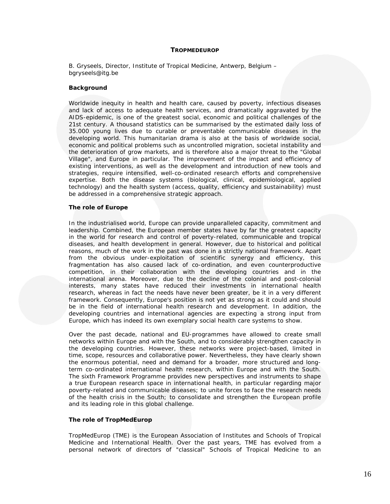#### **TROPMEDEUROP**

*B. Gryseels, Director, Institute of Tropical Medicine, Antwerp, Belgium – bgryseels@itg.be* 

#### **Background**

Worldwide inequity in health and health care, caused by poverty, infectious diseases and lack of access to adequate health services, and dramatically aggravated by the AIDS-epidemic, is one of the greatest social, economic and political challenges of the 21st century. A thousand statistics can be summarised by the estimated daily loss of 35.000 young lives due to curable or preventable communicable diseases in the developing world. This humanitarian drama is also at the basis of worldwide social, economic and political problems such as uncontrolled migration, societal instability and the deterioration of grow markets, and is therefore also a major threat to the "Global Village", and Europe in particular. The improvement of the impact and efficiency of existing interventions, as well as the development and introduction of new tools and strategies, require intensified, well-co-ordinated research efforts and comprehensive expertise. Both the disease systems (biological, clinical, epidemiological, applied technology) and the health system (access, quality, efficiency and sustainability) must be addressed in a comprehensive strategic approach.

#### **The role of Europe**

In the industrialised world, Europe can provide unparalleled capacity, commitment and leadership. Combined, the European member states have by far the greatest capacity in the world for research and control of poverty-related, communicable and tropical diseases, and health development in general. However, due to historical and political reasons, much of the work in the past was done in a strictly national framework. Apart from the obvious under-exploitation of scientific synergy and efficiency, this fragmentation has also caused lack of co-ordination, and even counterproductive competition, in their collaboration with the developing countries and in the international arena. Moreover, due to the decline of the colonial and post-colonial interests, many states have reduced their investments in international health research, whereas in fact the needs have never been greater, be it in a very different framework. Consequently, Europe's position is not yet as strong as it could and should be in the field of international health research and development. In addition, the developing countries and international agencies are expecting a strong input from Europe, which has indeed its own exemplary social health care systems to show.

Over the past decade, national and EU-programmes have allowed to create small networks within Europe and with the South, and to considerably strengthen capacity in the developing countries. However, these networks were project-based, limited in time, scope, resources and collaborative power. Nevertheless, they have clearly shown the enormous potential, need and demand for a broader, more structured and longterm co-ordinated international health research, within Europe and with the South. The sixth Framework Programme provides new perspectives and instruments to shape a true European research space in international health, in particular regarding major poverty-related and communicable diseases; to unite forces to face the research needs of the health crisis in the South; to consolidate and strengthen the European profile and its leading role in this global challenge.

#### **The role of TropMedEurop**

TropMedEurop (TME) is the European Association of Institutes and Schools of Tropical Medicine and International Health. Over the past years, TME has evolved from a personal network of directors of "classical" Schools of Tropical Medicine to an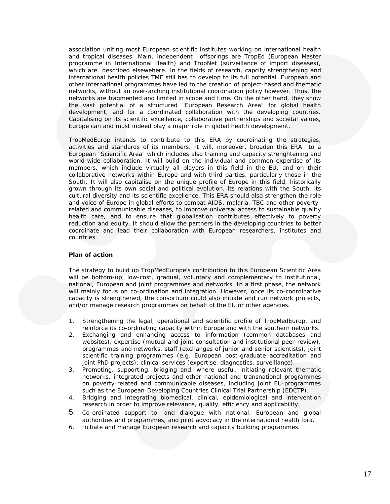association uniting most European scientific institutes working on international health and tropical diseases. Main, independent offsprings are TropEd (European Master programme in International Health) and TropNet (surveillance of import diseases), which are described elsewehere. In the fields of research, capcity strengthening and international health policies TME still has to develop to its full potential. European and other international programmes have led to the creation of project-based and thematic networks, without an over-arching institutional coordination policy however. Thus, the networks are fragmented and limited in scope and time. On the other hand, they show the vast potential of a structured "European Research Area" for global health development, and for a coordinated collaboration with the developing countries. Capitalising on its scientific excellence, collaborative partnerships and societal values, Europe can and must indeed play a major role in global health development.

TropMedEurop intends to contribute to this ERA by coordinating the strategies, activities and standards of its members. It will, moreover, broaden this ERA to a European "Scientific Area" which includes also training and capacity strenghtening and world-wide collaboration. It will build on the individual and common expertise of its members, which include virtually all players in this field in the EU, and on their collaborative networks within Europe and with third parties, particularly those in the South. It will also capitalise on the unique profile of Europe in this field, historically grown through its own social and political evolution, its relations with the South, its cultural diversity and its scientific excellence. This ERA should also strengthen the role and voice of Europe in global efforts to combat AIDS, malaria, TBC and other povertyrelated and communicable diseases, to improve universal access to sustainable quality health care, and to ensure that globalisation contributes effectively to poverty reduction and equity. It should allow the partners in the developing countries to better coordinate and lead their collaboration with European researchers, institutes and countries.

#### **Plan of action**

The strategy to build up TropMedEurope's contribution to this European Scientific Area will be bottom-up, low-cost, gradual, voluntary and complementary to institutional, national, European and joint programmes and networks. In a first phase, the network will mainly focus on co-ordination and integration. However, once its co-coordinative capacity is strengthened, the consortium could also initiate and run network projects, and/or manage research programmes on behalf of the EU or other agencies.

- 1. Strengthening the legal, operational and scientific profile of TropMedEurop, and reinforce its co-ordinating capacity within Europe and with the southern networks.
- 2. Exchanging and enhancing access to information (common databases and websites), expertise (mutual and joint consultation and institutional peer-review), programmes and networks, staff (exchanges of junior and senior scientists), joint scientific training programmes (e.g. European post-graduate accreditation and joint PhD projects), clinical services (expertise, diagnostics, surveillance).
- 3. Promoting, supporting, bridging and, where useful, initiating relevant thematic networks, integrated projects and other national and transnational programmes on poverty-related and communicable diseases, including joint EU-programmes such as the European-Developing Countries Clinical Trial Partnership (EDCTP).
- 4. Bridging and integrating biomedical, clinical, epidemiological and intervention research in order to improve relevance, quality, efficiency and applicability.
- 5. Co-ordinated support to, and dialogue with national, European and global authorities and programmes, and joint advocacy in the international health fora.
- 6. Initiate and manage European research and capacity building programmes.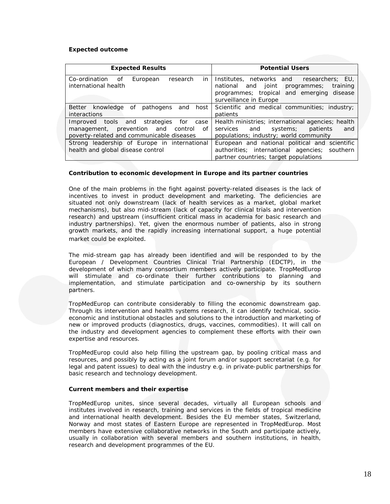### **Expected outcome**

| <b>Expected Results</b>                                                                                                               | <b>Potential Users</b>                                                                                                                                            |
|---------------------------------------------------------------------------------------------------------------------------------------|-------------------------------------------------------------------------------------------------------------------------------------------------------------------|
| Co-ordination<br>in<br>of<br>European<br>research<br>international health                                                             | Institutes, networks and researchers; EU,<br>national and joint<br>training<br>programmes;<br>programmes; tropical and emerging disease<br>surveillance in Europe |
| Better knowledge of pathogens<br>and host<br><i>interactions</i>                                                                      | Scientific and medical communities; industry;<br>patients                                                                                                         |
| Improved tools and strategies<br>for case<br>management, prevention and<br>control<br>of<br>poverty-related and communicable diseases | Health ministries; international agencies; health<br>and systems;<br>services<br>patients<br>and<br>populations; industry; world community                        |
| Strong leadership of Europe in international<br>health and global disease control                                                     | European and national political and scientific<br>authorities; international agencies; southern<br>partner countries; target populations                          |

#### **Contribution to economic development in Europe and its partner countries**

One of the main problems in the fight against poverty-related diseases is the lack of incentives to invest in product development and marketing. The deficiencies are situated not only downstream (lack of health services as a market, global market mechanisms), but also mid-stream (lack of capacity for clinical trials and intervention research) and upstream (insufficient critical mass in academia for basic research and industry partnerships). Yet, given the enormous number of patients, also in strong growth markets, and the rapidly increasing international support, a huge potential market could be exploited.

The mid-stream gap has already been identified and will be responded to by the European / Development Countries Clinical Trial Partnership (EDCTP), in the development of which many consortium members actively participate. TropMedEurop will stimulate and co-ordinate their further contributions to planning and implementation, and stimulate participation and co-ownership by its southern partners.

TropMedEurop can contribute considerably to filling the economic downstream gap. Through its intervention and health systems research, it can identify technical, socioeconomic and institutional obstacles and solutions to the introduction and marketing of new or improved products (diagnostics, drugs, vaccines, commodities). It will call on the industry and development agencies to complement these efforts with their own expertise and resources.

TropMedEurop could also help filling the upstream gap, by pooling critical mass and resources, and possibly by acting as a joint forum and/or support secretariat (e.g. for legal and patent issues) to deal with the industry e.g. in private-public partnerships for basic research and technology development.

#### **Current members and their expertise**

TropMedEurop unites, since several decades, virtually all European schools and institutes involved in research, training and services in the fields of tropical medicine and international health development. Besides the EU member states, Switzerland, Norway and most states of Eastern Europe are represented in TropMedEurop. Most members have extensive collaborative networks in the South and participate actively, usually in collaboration with several members and southern institutions, in health, research and development programmes of the EU.